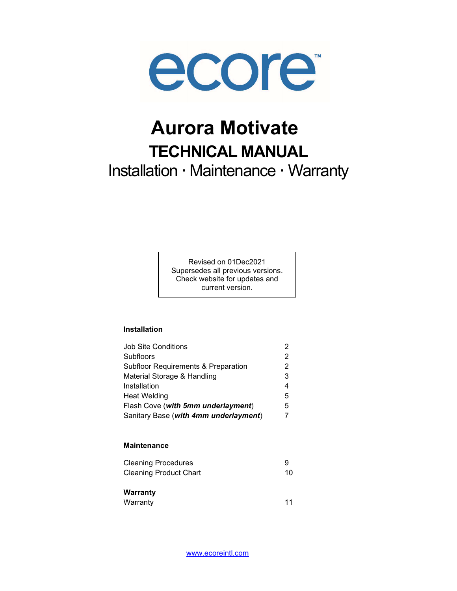

# Aurora Motivate TECHNICAL MANUAL Installation · Maintenance · Warranty

Revised on 01Dec2021 Supersedes all previous versions. Check website for updates and current version.

#### Installation

| Job Site Conditions                   |   |
|---------------------------------------|---|
| Subfloors                             | 2 |
| Subfloor Requirements & Preparation   |   |
| Material Storage & Handling           | 3 |
| Installation                          | 4 |
| <b>Heat Welding</b>                   | 5 |
| Flash Cove (with 5mm underlayment)    | 5 |
| Sanitary Base (with 4mm underlayment) |   |

#### **Maintenance**

| <b>Cleaning Procedures</b>    |  |
|-------------------------------|--|
| <b>Cleaning Product Chart</b> |  |

# **Warranty**

| Warranty |  |
|----------|--|
|----------|--|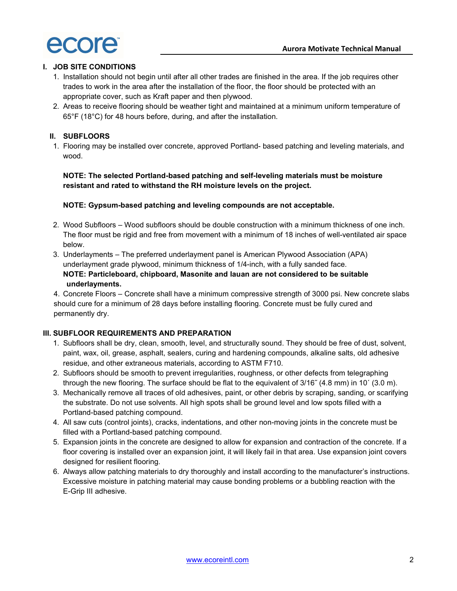# I. JOB SITE CONDITIONS

- 1. Installation should not begin until after all other trades are finished in the area. If the job requires other trades to work in the area after the installation of the floor, the floor should be protected with an appropriate cover, such as Kraft paper and then plywood.
- 2. Areas to receive flooring should be weather tight and maintained at a minimum uniform temperature of 65°F (18°C) for 48 hours before, during, and after the installation.

# II. SUBFLOORS

1. Flooring may be installed over concrete, approved Portland- based patching and leveling materials, and wood.

# NOTE: The selected Portland-based patching and self-leveling materials must be moisture resistant and rated to withstand the RH moisture levels on the project.

# NOTE: Gypsum-based patching and leveling compounds are not acceptable.

- 2. Wood Subfloors Wood subfloors should be double construction with a minimum thickness of one inch. The floor must be rigid and free from movement with a minimum of 18 inches of well-ventilated air space below.
- 3. Underlayments The preferred underlayment panel is American Plywood Association (APA) underlayment grade plywood, minimum thickness of 1/4-inch, with a fully sanded face. NOTE: Particleboard, chipboard, Masonite and lauan are not considered to be suitable underlayments.

4. Concrete Floors – Concrete shall have a minimum compressive strength of 3000 psi. New concrete slabs should cure for a minimum of 28 days before installing flooring. Concrete must be fully cured and permanently dry.

# III. SUBFLOOR REQUIREMENTS AND PREPARATION

- 1. Subfloors shall be dry, clean, smooth, level, and structurally sound. They should be free of dust, solvent, paint, wax, oil, grease, asphalt, sealers, curing and hardening compounds, alkaline salts, old adhesive residue, and other extraneous materials, according to ASTM F710.
- 2. Subfloors should be smooth to prevent irregularities, roughness, or other defects from telegraphing through the new flooring. The surface should be flat to the equivalent of 3/16˝ (4.8 mm) in 10´ (3.0 m).
- 3. Mechanically remove all traces of old adhesives, paint, or other debris by scraping, sanding, or scarifying the substrate. Do not use solvents. All high spots shall be ground level and low spots filled with a Portland-based patching compound.
- 4. All saw cuts (control joints), cracks, indentations, and other non-moving joints in the concrete must be filled with a Portland-based patching compound.
- 5. Expansion joints in the concrete are designed to allow for expansion and contraction of the concrete. If a floor covering is installed over an expansion joint, it will likely fail in that area. Use expansion joint covers designed for resilient flooring.
- 6. Always allow patching materials to dry thoroughly and install according to the manufacturer's instructions. Excessive moisture in patching material may cause bonding problems or a bubbling reaction with the E-Grip III adhesive.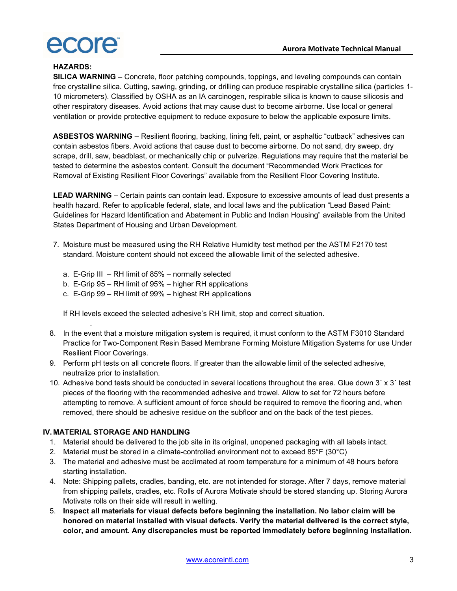

#### HAZARDS:

SILICA WARNING – Concrete, floor patching compounds, toppings, and leveling compounds can contain free crystalline silica. Cutting, sawing, grinding, or drilling can produce respirable crystalline silica (particles 1- 10 micrometers). Classified by OSHA as an IA carcinogen, respirable silica is known to cause silicosis and other respiratory diseases. Avoid actions that may cause dust to become airborne. Use local or general ventilation or provide protective equipment to reduce exposure to below the applicable exposure limits.

ASBESTOS WARNING – Resilient flooring, backing, lining felt, paint, or asphaltic "cutback" adhesives can contain asbestos fibers. Avoid actions that cause dust to become airborne. Do not sand, dry sweep, dry scrape, drill, saw, beadblast, or mechanically chip or pulverize. Regulations may require that the material be tested to determine the asbestos content. Consult the document "Recommended Work Practices for Removal of Existing Resilient Floor Coverings" available from the Resilient Floor Covering Institute.

LEAD WARNING – Certain paints can contain lead. Exposure to excessive amounts of lead dust presents a health hazard. Refer to applicable federal, state, and local laws and the publication "Lead Based Paint: Guidelines for Hazard Identification and Abatement in Public and Indian Housing" available from the United States Department of Housing and Urban Development.

- 7. Moisture must be measured using the RH Relative Humidity test method per the ASTM F2170 test standard. Moisture content should not exceed the allowable limit of the selected adhesive.
	- a. E-Grip III RH limit of 85% normally selected
	- b. E-Grip 95 RH limit of 95% higher RH applications
	- c. E-Grip 99 RH limit of 99% highest RH applications

If RH levels exceed the selected adhesive's RH limit, stop and correct situation.

- 8. In the event that a moisture mitigation system is required, it must conform to the ASTM F3010 Standard Practice for Two-Component Resin Based Membrane Forming Moisture Mitigation Systems for use Under Resilient Floor Coverings.
- 9. Perform pH tests on all concrete floors. If greater than the allowable limit of the selected adhesive, neutralize prior to installation.
- 10. Adhesive bond tests should be conducted in several locations throughout the area. Glue down 3´ x 3´ test pieces of the flooring with the recommended adhesive and trowel. Allow to set for 72 hours before attempting to remove. A sufficient amount of force should be required to remove the flooring and, when removed, there should be adhesive residue on the subfloor and on the back of the test pieces.

#### IV. MATERIAL STORAGE AND HANDLING

.

- 1. Material should be delivered to the job site in its original, unopened packaging with all labels intact.
- 2. Material must be stored in a climate-controlled environment not to exceed 85°F (30°C)
- 3. The material and adhesive must be acclimated at room temperature for a minimum of 48 hours before starting installation.
- 4. Note: Shipping pallets, cradles, banding, etc. are not intended for storage. After 7 days, remove material from shipping pallets, cradles, etc. Rolls of Aurora Motivate should be stored standing up. Storing Aurora Motivate rolls on their side will result in welting.
- 5. Inspect all materials for visual defects before beginning the installation. No labor claim will be honored on material installed with visual defects. Verify the material delivered is the correct style, color, and amount. Any discrepancies must be reported immediately before beginning installation.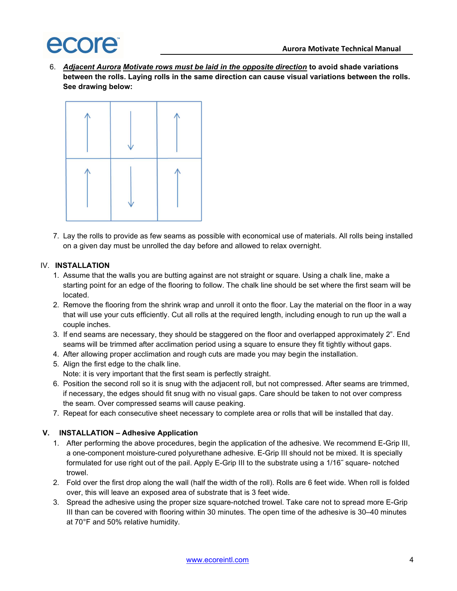6. Adjacent Aurora Motivate rows must be laid in the opposite direction to avoid shade variations between the rolls. Laying rolls in the same direction can cause visual variations between the rolls. See drawing below:



7. Lay the rolls to provide as few seams as possible with economical use of materials. All rolls being installed on a given day must be unrolled the day before and allowed to relax overnight.

## IV. INSTALLATION

- 1. Assume that the walls you are butting against are not straight or square. Using a chalk line, make a starting point for an edge of the flooring to follow. The chalk line should be set where the first seam will be located.
- 2. Remove the flooring from the shrink wrap and unroll it onto the floor. Lay the material on the floor in a way that will use your cuts efficiently. Cut all rolls at the required length, including enough to run up the wall a couple inches.
- 3. If end seams are necessary, they should be staggered on the floor and overlapped approximately 2". End seams will be trimmed after acclimation period using a square to ensure they fit tightly without gaps.
- 4. After allowing proper acclimation and rough cuts are made you may begin the installation.
- 5. Align the first edge to the chalk line. Note: it is very important that the first seam is perfectly straight.
- 6. Position the second roll so it is snug with the adjacent roll, but not compressed. After seams are trimmed, if necessary, the edges should fit snug with no visual gaps. Care should be taken to not over compress the seam. Over compressed seams will cause peaking.
- 7. Repeat for each consecutive sheet necessary to complete area or rolls that will be installed that day.

# V. INSTALLATION – Adhesive Application

- 1. After performing the above procedures, begin the application of the adhesive. We recommend E-Grip III, a one-component moisture-cured polyurethane adhesive. E-Grip III should not be mixed. It is specially formulated for use right out of the pail. Apply E-Grip III to the substrate using a 1/16˝ square- notched trowel.
- 2. Fold over the first drop along the wall (half the width of the roll). Rolls are 6 feet wide. When roll is folded over, this will leave an exposed area of substrate that is 3 feet wide.
- 3. Spread the adhesive using the proper size square-notched trowel. Take care not to spread more E-Grip III than can be covered with flooring within 30 minutes. The open time of the adhesive is 30–40 minutes at 70°F and 50% relative humidity.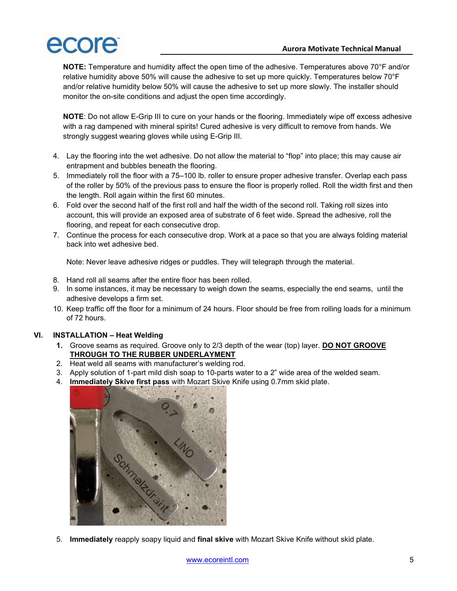

NOTE: Temperature and humidity affect the open time of the adhesive. Temperatures above 70°F and/or relative humidity above 50% will cause the adhesive to set up more quickly. Temperatures below 70°F and/or relative humidity below 50% will cause the adhesive to set up more slowly. The installer should monitor the on-site conditions and adjust the open time accordingly.

NOTE: Do not allow E-Grip III to cure on your hands or the flooring. Immediately wipe off excess adhesive with a rag dampened with mineral spirits! Cured adhesive is very difficult to remove from hands. We strongly suggest wearing gloves while using E-Grip III.

- 4. Lay the flooring into the wet adhesive. Do not allow the material to "flop" into place; this may cause air entrapment and bubbles beneath the flooring.
- 5. Immediately roll the floor with a 75–100 lb. roller to ensure proper adhesive transfer. Overlap each pass of the roller by 50% of the previous pass to ensure the floor is properly rolled. Roll the width first and then the length. Roll again within the first 60 minutes.
- 6. Fold over the second half of the first roll and half the width of the second roll. Taking roll sizes into account, this will provide an exposed area of substrate of 6 feet wide. Spread the adhesive, roll the flooring, and repeat for each consecutive drop.
- 7. Continue the process for each consecutive drop. Work at a pace so that you are always folding material back into wet adhesive bed.

Note: Never leave adhesive ridges or puddles. They will telegraph through the material.

- 8. Hand roll all seams after the entire floor has been rolled.
- 9. In some instances, it may be necessary to weigh down the seams, especially the end seams, until the adhesive develops a firm set.
- 10. Keep traffic off the floor for a minimum of 24 hours. Floor should be free from rolling loads for a minimum of 72 hours.

#### VI. INSTALLATION – Heat Welding

- 1. Groove seams as required. Groove only to 2/3 depth of the wear (top) layer. DO NOT GROOVE THROUGH TO THE RUBBER UNDERLAYMENT
- 2. Heat weld all seams with manufacturer's welding rod.
- 3. Apply solution of 1-part mild dish soap to 10-parts water to a 2" wide area of the welded seam.
- 4. **Immediately Skive first pass** with Mozart Skive Knife using 0.7mm skid plate.



5. Immediately reapply soapy liquid and final skive with Mozart Skive Knife without skid plate.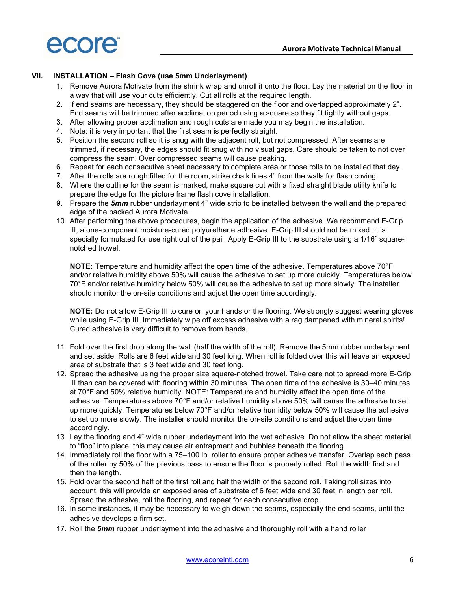

#### VII. INSTALLATION – Flash Cove (use 5mm Underlayment)

- 1. Remove Aurora Motivate from the shrink wrap and unroll it onto the floor. Lay the material on the floor in a way that will use your cuts efficiently. Cut all rolls at the required length.
- 2. If end seams are necessary, they should be staggered on the floor and overlapped approximately 2". End seams will be trimmed after acclimation period using a square so they fit tightly without gaps.
- 3. After allowing proper acclimation and rough cuts are made you may begin the installation.
- 4. Note: it is very important that the first seam is perfectly straight.
- 5. Position the second roll so it is snug with the adjacent roll, but not compressed. After seams are trimmed, if necessary, the edges should fit snug with no visual gaps. Care should be taken to not over compress the seam. Over compressed seams will cause peaking.
- 6. Repeat for each consecutive sheet necessary to complete area or those rolls to be installed that day.
- 7. After the rolls are rough fitted for the room, strike chalk lines 4" from the walls for flash coving.
- 8. Where the outline for the seam is marked, make square cut with a fixed straight blade utility knife to prepare the edge for the picture frame flash cove installation.
- 9. Prepare the 5mm rubber underlayment 4" wide strip to be installed between the wall and the prepared edge of the backed Aurora Motivate.
- 10. After performing the above procedures, begin the application of the adhesive. We recommend E-Grip III, a one-component moisture-cured polyurethane adhesive. E-Grip III should not be mixed. It is specially formulated for use right out of the pail. Apply E-Grip III to the substrate using a 1/16<sup>"</sup> squarenotched trowel.

NOTE: Temperature and humidity affect the open time of the adhesive. Temperatures above 70°F and/or relative humidity above 50% will cause the adhesive to set up more quickly. Temperatures below 70°F and/or relative humidity below 50% will cause the adhesive to set up more slowly. The installer should monitor the on-site conditions and adjust the open time accordingly.

NOTE: Do not allow E-Grip III to cure on your hands or the flooring. We strongly suggest wearing gloves while using E-Grip III. Immediately wipe off excess adhesive with a rag dampened with mineral spirits! Cured adhesive is very difficult to remove from hands.

- 11. Fold over the first drop along the wall (half the width of the roll). Remove the 5mm rubber underlayment and set aside. Rolls are 6 feet wide and 30 feet long. When roll is folded over this will leave an exposed area of substrate that is 3 feet wide and 30 feet long.
- 12. Spread the adhesive using the proper size square-notched trowel. Take care not to spread more E-Grip III than can be covered with flooring within 30 minutes. The open time of the adhesive is 30–40 minutes at 70°F and 50% relative humidity. NOTE: Temperature and humidity affect the open time of the adhesive. Temperatures above 70°F and/or relative humidity above 50% will cause the adhesive to set up more quickly. Temperatures below 70°F and/or relative humidity below 50% will cause the adhesive to set up more slowly. The installer should monitor the on-site conditions and adjust the open time accordingly.
- 13. Lay the flooring and 4" wide rubber underlayment into the wet adhesive. Do not allow the sheet material to "flop" into place; this may cause air entrapment and bubbles beneath the flooring.
- 14. Immediately roll the floor with a 75–100 lb. roller to ensure proper adhesive transfer. Overlap each pass of the roller by 50% of the previous pass to ensure the floor is properly rolled. Roll the width first and then the length.
- 15. Fold over the second half of the first roll and half the width of the second roll. Taking roll sizes into account, this will provide an exposed area of substrate of 6 feet wide and 30 feet in length per roll. Spread the adhesive, roll the flooring, and repeat for each consecutive drop.
- 16. In some instances, it may be necessary to weigh down the seams, especially the end seams, until the adhesive develops a firm set.
- 17. Roll the 5mm rubber underlayment into the adhesive and thoroughly roll with a hand roller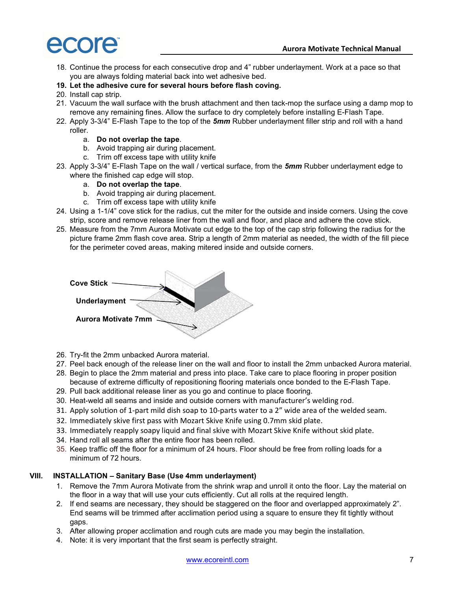- 18. Continue the process for each consecutive drop and 4" rubber underlayment. Work at a pace so that you are always folding material back into wet adhesive bed.
- 19. Let the adhesive cure for several hours before flash coving.
- 20. Install cap strip.
- 21. Vacuum the wall surface with the brush attachment and then tack-mop the surface using a damp mop to remove any remaining fines. Allow the surface to dry completely before installing E-Flash Tape.
- 22. Apply 3-3/4" E-Flash Tape to the top of the 5mm Rubber underlayment filler strip and roll with a hand roller.
	- a. Do not overlap the tape.
	- b. Avoid trapping air during placement.
	- c. Trim off excess tape with utility knife
- 23. Apply 3-3/4" E-Flash Tape on the wall / vertical surface, from the 5mm Rubber underlayment edge to where the finished cap edge will stop.
	- a. Do not overlap the tape.
	- b. Avoid trapping air during placement.
	- c. Trim off excess tape with utility knife
- 24. Using a 1-1/4" cove stick for the radius, cut the miter for the outside and inside corners. Using the cove strip, score and remove release liner from the wall and floor, and place and adhere the cove stick.
- 25. Measure from the 7mm Aurora Motivate cut edge to the top of the cap strip following the radius for the picture frame 2mm flash cove area. Strip a length of 2mm material as needed, the width of the fill piece for the perimeter coved areas, making mitered inside and outside corners.

| <b>Cove Stick</b>          |  |
|----------------------------|--|
| <b>Underlayment</b>        |  |
| <b>Aurora Motivate 7mm</b> |  |
|                            |  |

- 26. Try-fit the 2mm unbacked Aurora material.
- 27. Peel back enough of the release liner on the wall and floor to install the 2mm unbacked Aurora material.
- 28. Begin to place the 2mm material and press into place. Take care to place flooring in proper position because of extreme difficulty of repositioning flooring materials once bonded to the E-Flash Tape.
- 29. Pull back additional release liner as you go and continue to place flooring.
- 30. Heat-weld all seams and inside and outside corners with manufacturer's welding rod.
- 31. Apply solution of 1-part mild dish soap to 10-parts water to a 2" wide area of the welded seam.
- 32. Immediately skive first pass with Mozart Skive Knife using 0.7mm skid plate.
- 33. Immediately reapply soapy liquid and final skive with Mozart Skive Knife without skid plate.
- 34. Hand roll all seams after the entire floor has been rolled.
- 35. Keep traffic off the floor for a minimum of 24 hours. Floor should be free from rolling loads for a minimum of 72 hours.

# VIII. INSTALLATION – Sanitary Base (Use 4mm underlayment)

- 1. Remove the 7mm Aurora Motivate from the shrink wrap and unroll it onto the floor. Lay the material on the floor in a way that will use your cuts efficiently. Cut all rolls at the required length.
- 2. If end seams are necessary, they should be staggered on the floor and overlapped approximately 2". End seams will be trimmed after acclimation period using a square to ensure they fit tightly without gaps.
- 3. After allowing proper acclimation and rough cuts are made you may begin the installation.
- 4. Note: it is very important that the first seam is perfectly straight.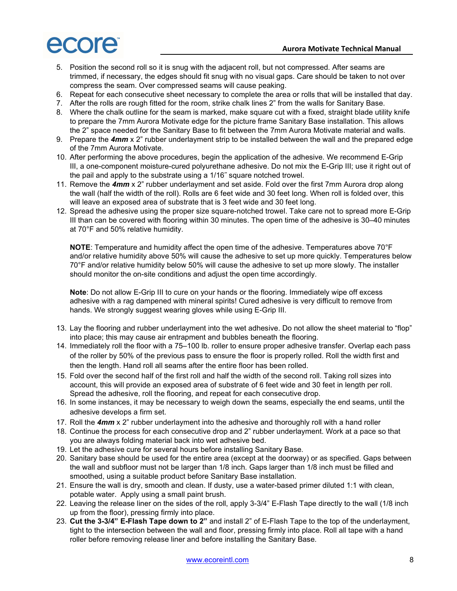- 5. Position the second roll so it is snug with the adjacent roll, but not compressed. After seams are trimmed, if necessary, the edges should fit snug with no visual gaps. Care should be taken to not over compress the seam. Over compressed seams will cause peaking.
- 6. Repeat for each consecutive sheet necessary to complete the area or rolls that will be installed that day.
- 7. After the rolls are rough fitted for the room, strike chalk lines 2" from the walls for Sanitary Base.
- 8. Where the chalk outline for the seam is marked, make square cut with a fixed, straight blade utility knife to prepare the 7mm Aurora Motivate edge for the picture frame Sanitary Base installation. This allows the 2" space needed for the Sanitary Base to fit between the 7mm Aurora Motivate material and walls.
- 9. Prepare the  $4mm \times 2$ " rubber underlayment strip to be installed between the wall and the prepared edge of the 7mm Aurora Motivate.
- 10. After performing the above procedures, begin the application of the adhesive. We recommend E-Grip III, a one-component moisture-cured polyurethane adhesive. Do not mix the E-Grip III; use it right out of the pail and apply to the substrate using a 1/16˝ square notched trowel.
- 11. Remove the 4mm x 2" rubber underlayment and set aside. Fold over the first 7mm Aurora drop along the wall (half the width of the roll). Rolls are 6 feet wide and 30 feet long. When roll is folded over, this will leave an exposed area of substrate that is 3 feet wide and 30 feet long.
- 12. Spread the adhesive using the proper size square-notched trowel. Take care not to spread more E-Grip III than can be covered with flooring within 30 minutes. The open time of the adhesive is 30–40 minutes at 70°F and 50% relative humidity.

NOTE: Temperature and humidity affect the open time of the adhesive. Temperatures above 70°F and/or relative humidity above 50% will cause the adhesive to set up more quickly. Temperatures below 70°F and/or relative humidity below 50% will cause the adhesive to set up more slowly. The installer should monitor the on-site conditions and adjust the open time accordingly.

Note: Do not allow E-Grip III to cure on your hands or the flooring. Immediately wipe off excess adhesive with a rag dampened with mineral spirits! Cured adhesive is very difficult to remove from hands. We strongly suggest wearing gloves while using E-Grip III.

- 13. Lay the flooring and rubber underlayment into the wet adhesive. Do not allow the sheet material to "flop" into place; this may cause air entrapment and bubbles beneath the flooring.
- 14. Immediately roll the floor with a 75–100 lb. roller to ensure proper adhesive transfer. Overlap each pass of the roller by 50% of the previous pass to ensure the floor is properly rolled. Roll the width first and then the length. Hand roll all seams after the entire floor has been rolled.
- 15. Fold over the second half of the first roll and half the width of the second roll. Taking roll sizes into account, this will provide an exposed area of substrate of 6 feet wide and 30 feet in length per roll. Spread the adhesive, roll the flooring, and repeat for each consecutive drop.
- 16. In some instances, it may be necessary to weigh down the seams, especially the end seams, until the adhesive develops a firm set.
- 17. Roll the 4mm x 2" rubber underlayment into the adhesive and thoroughly roll with a hand roller
- 18. Continue the process for each consecutive drop and 2" rubber underlayment. Work at a pace so that you are always folding material back into wet adhesive bed.
- 19. Let the adhesive cure for several hours before installing Sanitary Base.
- 20. Sanitary base should be used for the entire area (except at the doorway) or as specified. Gaps between the wall and subfloor must not be larger than 1/8 inch. Gaps larger than 1/8 inch must be filled and smoothed, using a suitable product before Sanitary Base installation.
- 21. Ensure the wall is dry, smooth and clean. If dusty, use a water-based primer diluted 1:1 with clean, potable water. Apply using a small paint brush.
- 22. Leaving the release liner on the sides of the roll, apply 3-3/4" E-Flash Tape directly to the wall (1/8 inch up from the floor), pressing firmly into place.
- 23. Cut the 3-3/4" E-Flash Tape down to 2" and install 2" of E-Flash Tape to the top of the underlayment, tight to the intersection between the wall and floor, pressing firmly into place. Roll all tape with a hand roller before removing release liner and before installing the Sanitary Base.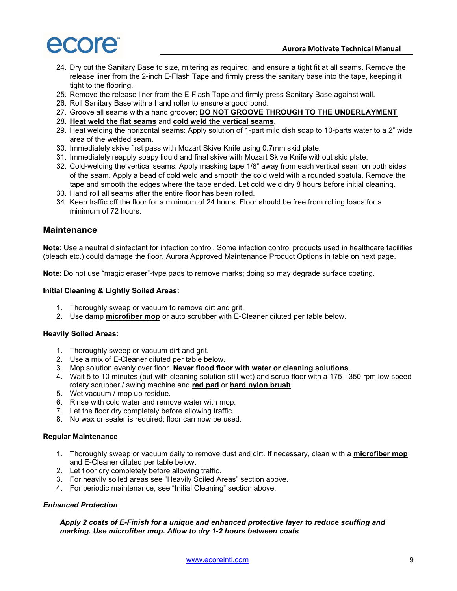

- 24. Dry cut the Sanitary Base to size, mitering as required, and ensure a tight fit at all seams. Remove the release liner from the 2-inch E-Flash Tape and firmly press the sanitary base into the tape, keeping it tight to the flooring.
- 25. Remove the release liner from the E-Flash Tape and firmly press Sanitary Base against wall.
- 26. Roll Sanitary Base with a hand roller to ensure a good bond.
- 27. Groove all seams with a hand groover; DO NOT GROOVE THROUGH TO THE UNDERLAYMENT
- 28. Heat weld the flat seams and cold weld the vertical seams.
- 29. Heat welding the horizontal seams: Apply solution of 1-part mild dish soap to 10-parts water to a 2" wide area of the welded seam.
- 30. Immediately skive first pass with Mozart Skive Knife using 0.7mm skid plate.
- 31. Immediately reapply soapy liquid and final skive with Mozart Skive Knife without skid plate.
- 32. Cold-welding the vertical seams: Apply masking tape 1/8" away from each vertical seam on both sides of the seam. Apply a bead of cold weld and smooth the cold weld with a rounded spatula. Remove the tape and smooth the edges where the tape ended. Let cold weld dry 8 hours before initial cleaning.
- 33. Hand roll all seams after the entire floor has been rolled.
- 34. Keep traffic off the floor for a minimum of 24 hours. Floor should be free from rolling loads for a minimum of 72 hours.

#### **Maintenance**

Note: Use a neutral disinfectant for infection control. Some infection control products used in healthcare facilities (bleach etc.) could damage the floor. Aurora Approved Maintenance Product Options in table on next page.

Note: Do not use "magic eraser"-type pads to remove marks; doing so may degrade surface coating.

#### Initial Cleaning & Lightly Soiled Areas:

- 1. Thoroughly sweep or vacuum to remove dirt and grit.
- 2. Use damp **microfiber mop** or auto scrubber with E-Cleaner diluted per table below.

#### Heavily Soiled Areas:

- 1. Thoroughly sweep or vacuum dirt and grit.
- 2. Use a mix of E-Cleaner diluted per table below.
- 3. Mop solution evenly over floor. Never flood floor with water or cleaning solutions.
- 4. Wait 5 to 10 minutes (but with cleaning solution still wet) and scrub floor with a 175 350 rpm low speed rotary scrubber / swing machine and red pad or hard nylon brush.
- 5. Wet vacuum / mop up residue.
- 6. Rinse with cold water and remove water with mop.
- 7. Let the floor dry completely before allowing traffic.
- 8. No wax or sealer is required; floor can now be used.

#### Regular Maintenance

- 1. Thoroughly sweep or vacuum daily to remove dust and dirt. If necessary, clean with a microfiber mop and E-Cleaner diluted per table below.
- 2. Let floor dry completely before allowing traffic.
- 3. For heavily soiled areas see "Heavily Soiled Areas" section above.
- 4. For periodic maintenance, see "Initial Cleaning" section above.

## **Enhanced Protection**

#### Apply 2 coats of E-Finish for a unique and enhanced protective layer to reduce scuffing and marking. Use microfiber mop. Allow to dry 1-2 hours between coats

www.ecoreintl.com 9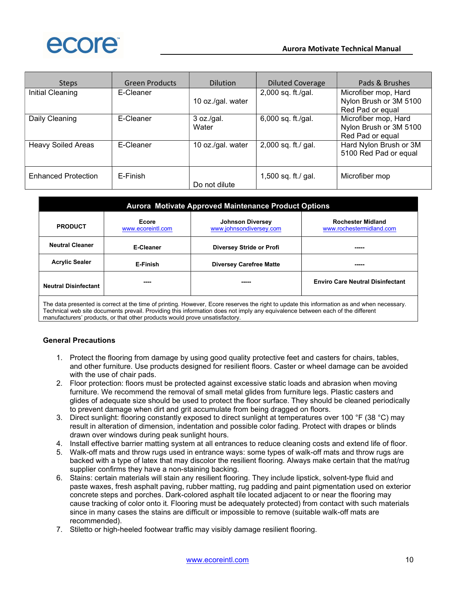

| <b>Steps</b>               | <b>Green Products</b> | <b>Dilution</b>     | <b>Diluted Coverage</b> | Pads & Brushes                                                     |
|----------------------------|-----------------------|---------------------|-------------------------|--------------------------------------------------------------------|
| Initial Cleaning           | E-Cleaner             | 10 oz./gal. water   | 2,000 sq. ft./gal.      | Microfiber mop, Hard<br>Nylon Brush or 3M 5100<br>Red Pad or equal |
| Daily Cleaning             | E-Cleaner             | 3 oz./gal.<br>Water | 6,000 sq. ft./gal.      | Microfiber mop, Hard<br>Nylon Brush or 3M 5100<br>Red Pad or equal |
| <b>Heavy Soiled Areas</b>  | E-Cleaner             | 10 oz./gal. water   | 2,000 sq. ft./ gal.     | Hard Nylon Brush or 3M<br>5100 Red Pad or equal                    |
| <b>Enhanced Protection</b> | E-Finish              | Do not dilute       | 1,500 sq. ft./ gal.     | Microfiber mop                                                     |

| <b>Aurora Motivate Approved Maintenance Product Options</b> |                            |                                                    |                                                      |  |
|-------------------------------------------------------------|----------------------------|----------------------------------------------------|------------------------------------------------------|--|
| <b>PRODUCT</b>                                              | Ecore<br>www.ecoreintl.com | <b>Johnson Diversey</b><br>www.johnsondiversey.com | <b>Rochester Midland</b><br>www.rochestermidland.com |  |
| <b>Neutral Cleaner</b>                                      | E-Cleaner                  | Diversey Stride or Profi                           |                                                      |  |
| <b>Acrylic Sealer</b>                                       | E-Finish                   | <b>Diversey Carefree Matte</b>                     |                                                      |  |
| <b>Neutral Disinfectant</b>                                 | ----                       |                                                    | <b>Enviro Care Neutral Disinfectant</b>              |  |

The data presented is correct at the time of printing. However, Ecore reserves the right to update this information as and when necessary. Technical web site documents prevail. Providing this information does not imply any equivalence between each of the different manufacturers' products, or that other products would prove unsatisfactory.

#### General Precautions

- 1. Protect the flooring from damage by using good quality protective feet and casters for chairs, tables, and other furniture. Use products designed for resilient floors. Caster or wheel damage can be avoided with the use of chair pads.
- 2. Floor protection: floors must be protected against excessive static loads and abrasion when moving furniture. We recommend the removal of small metal glides from furniture legs. Plastic casters and glides of adequate size should be used to protect the floor surface. They should be cleaned periodically to prevent damage when dirt and grit accumulate from being dragged on floors.
- 3. Direct sunlight: flooring constantly exposed to direct sunlight at temperatures over 100 °F (38 °C) may result in alteration of dimension, indentation and possible color fading. Protect with drapes or blinds drawn over windows during peak sunlight hours.
- 4. Install effective barrier matting system at all entrances to reduce cleaning costs and extend life of floor.
- 5. Walk-off mats and throw rugs used in entrance ways: some types of walk-off mats and throw rugs are backed with a type of latex that may discolor the resilient flooring. Always make certain that the mat/rug supplier confirms they have a non-staining backing.
- 6. Stains: certain materials will stain any resilient flooring. They include lipstick, solvent-type fluid and paste waxes, fresh asphalt paving, rubber matting, rug padding and paint pigmentation used on exterior concrete steps and porches. Dark-colored asphalt tile located adjacent to or near the flooring may cause tracking of color onto it. Flooring must be adequately protected) from contact with such materials since in many cases the stains are difficult or impossible to remove (suitable walk-off mats are recommended).
- 7. Stiletto or high-heeled footwear traffic may visibly damage resilient flooring.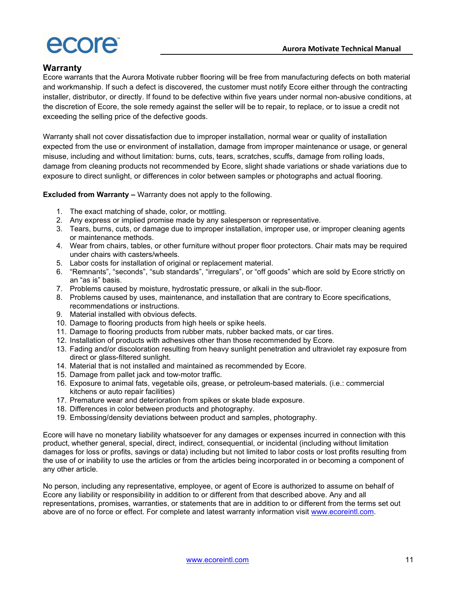

# Warranty

Ecore warrants that the Aurora Motivate rubber flooring will be free from manufacturing defects on both material and workmanship. If such a defect is discovered, the customer must notify Ecore either through the contracting installer, distributor, or directly. If found to be defective within five years under normal non-abusive conditions, at the discretion of Ecore, the sole remedy against the seller will be to repair, to replace, or to issue a credit not exceeding the selling price of the defective goods.

Warranty shall not cover dissatisfaction due to improper installation, normal wear or quality of installation expected from the use or environment of installation, damage from improper maintenance or usage, or general misuse, including and without limitation: burns, cuts, tears, scratches, scuffs, damage from rolling loads, damage from cleaning products not recommended by Ecore, slight shade variations or shade variations due to exposure to direct sunlight, or differences in color between samples or photographs and actual flooring.

Excluded from Warranty – Warranty does not apply to the following.

- 1. The exact matching of shade, color, or mottling.
- 2. Any express or implied promise made by any salesperson or representative.
- 3. Tears, burns, cuts, or damage due to improper installation, improper use, or improper cleaning agents or maintenance methods.
- 4. Wear from chairs, tables, or other furniture without proper floor protectors. Chair mats may be required under chairs with casters/wheels.
- 5. Labor costs for installation of original or replacement material.
- 6. "Remnants", "seconds", "sub standards", "irregulars", or "off goods" which are sold by Ecore strictly on an "as is" basis.
- 7. Problems caused by moisture, hydrostatic pressure, or alkali in the sub-floor.
- 8. Problems caused by uses, maintenance, and installation that are contrary to Ecore specifications, recommendations or instructions.
- 9. Material installed with obvious defects.
- 10. Damage to flooring products from high heels or spike heels.
- 11. Damage to flooring products from rubber mats, rubber backed mats, or car tires.
- 12. Installation of products with adhesives other than those recommended by Ecore.
- 13. Fading and/or discoloration resulting from heavy sunlight penetration and ultraviolet ray exposure from direct or glass-filtered sunlight.
- 14. Material that is not installed and maintained as recommended by Ecore.
- 15. Damage from pallet jack and tow-motor traffic.
- 16. Exposure to animal fats, vegetable oils, grease, or petroleum-based materials. (i.e.: commercial kitchens or auto repair facilities)
- 17. Premature wear and deterioration from spikes or skate blade exposure.
- 18. Differences in color between products and photography.
- 19. Embossing/density deviations between product and samples, photography.

Ecore will have no monetary liability whatsoever for any damages or expenses incurred in connection with this product, whether general, special, direct, indirect, consequential, or incidental (including without limitation damages for loss or profits, savings or data) including but not limited to labor costs or lost profits resulting from the use of or inability to use the articles or from the articles being incorporated in or becoming a component of any other article.

No person, including any representative, employee, or agent of Ecore is authorized to assume on behalf of Ecore any liability or responsibility in addition to or different from that described above. Any and all representations, promises, warranties, or statements that are in addition to or different from the terms set out above are of no force or effect. For complete and latest warranty information visit www.ecoreintl.com.